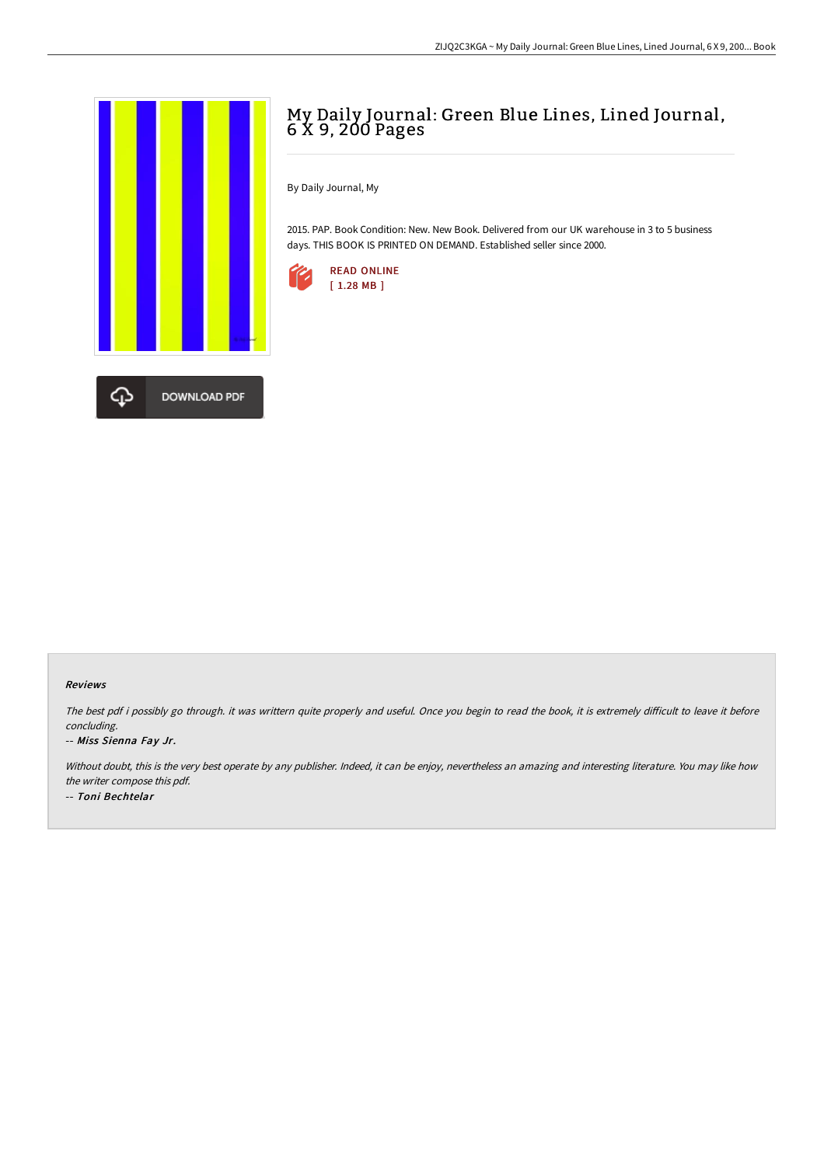

# My Daily Journal: Green Blue Lines, Lined Journal, 6 X 9, 200 Pages

By Daily Journal, My

2015. PAP. Book Condition: New. New Book. Delivered from our UK warehouse in 3 to 5 business days. THIS BOOK IS PRINTED ON DEMAND. Established seller since 2000.



#### Reviews

The best pdf i possibly go through. it was writtern quite properly and useful. Once you begin to read the book, it is extremely difficult to leave it before concluding.

#### -- Miss Sienna Fay Jr.

Without doubt, this is the very best operate by any publisher. Indeed, it can be enjoy, nevertheless an amazing and interesting literature. You may like how the writer compose this pdf. -- Toni Bechtelar